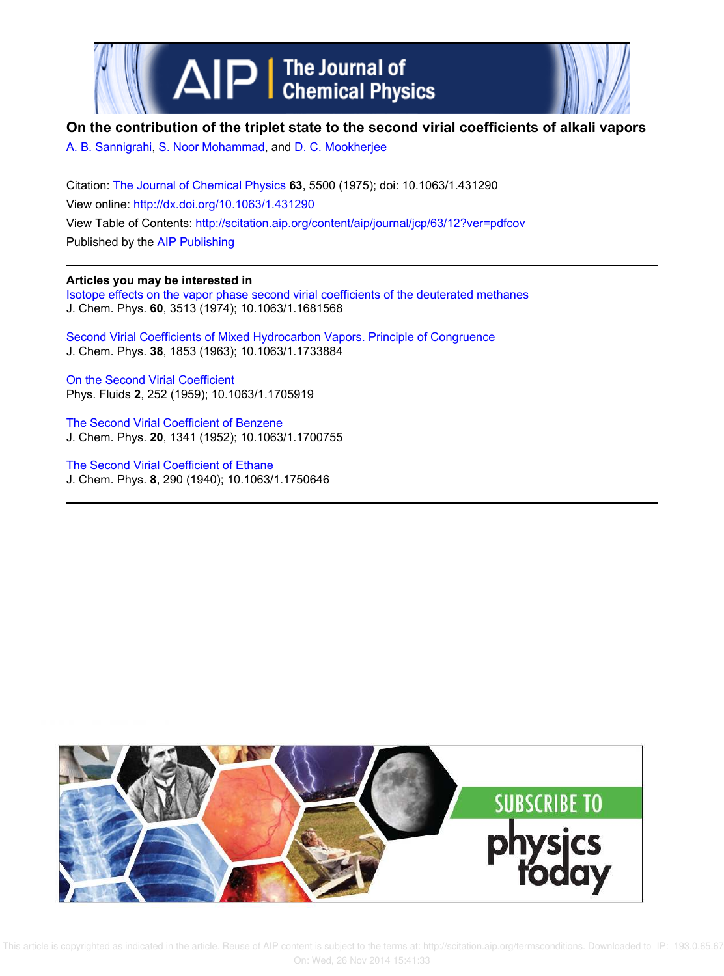



## **On the contribution of the triplet state to the second virial coefficients of alkali vapors**

A. B. Sannigrahi, S. Noor Mohammad, and D. C. Mookherjee

Citation: The Journal of Chemical Physics **63**, 5500 (1975); doi: 10.1063/1.431290 View online: http://dx.doi.org/10.1063/1.431290 View Table of Contents: http://scitation.aip.org/content/aip/journal/jcp/63/12?ver=pdfcov Published by the AIP Publishing

## **Articles you may be interested in**

Isotope effects on the vapor phase second virial coefficients of the deuterated methanes J. Chem. Phys. **60**, 3513 (1974); 10.1063/1.1681568

Second Virial Coefficients of Mixed Hydrocarbon Vapors. Principle of Congruence J. Chem. Phys. **38**, 1853 (1963); 10.1063/1.1733884

On the Second Virial Coefficient Phys. Fluids **2**, 252 (1959); 10.1063/1.1705919

The Second Virial Coefficient of Benzene J. Chem. Phys. **20**, 1341 (1952); 10.1063/1.1700755

The Second Virial Coefficient of Ethane J. Chem. Phys. **8**, 290 (1940); 10.1063/1.1750646

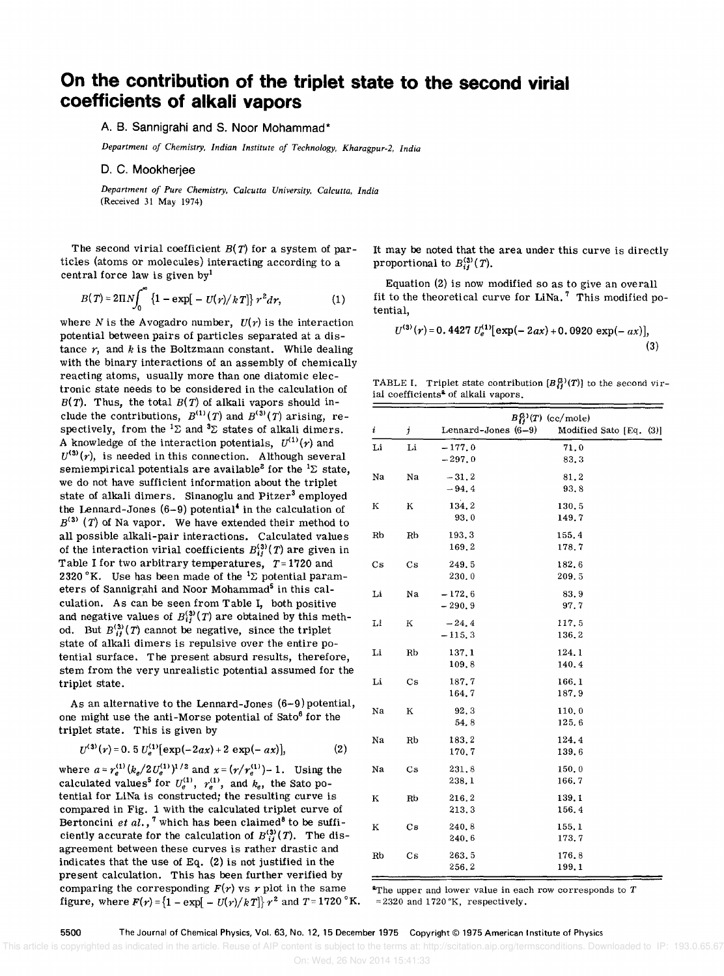## On the contribution of the triplet state to the second virial **coefficients of alkali vapors**

A. B. **Sannigrahi and S. Noor Mohammad\*** 

*Department of Chemistry, Indian Institute of Technology, Kharagpur-2, India* 

D. C. **Mookherjee** 

*Department of Pure Chemistry, Calcutta University, Calcutta, India*  (Received 31 May 1974)

The second virial coefficient  $B(T)$  for a system of particles (atoms or molecules) interacting according to a central force law is given byl

$$
B(T) = 2\Pi N \int_0^{\infty} \{1 - \exp[-U(r)/kT]\} r^2 dr,
$$
 (1)

where N is the Avogadro number,  $U(r)$  is the interaction potential between pairs of particles separated at a distance  $r$ , and  $k$  is the Boltzmann constant. While dealing with the binary interactions of an assembly of chemically reacting atoms, usually more than one diatomic electronic state needs to be considered in the calculation of  $B(T)$ . Thus, the total  $B(T)$  of alkali vapors should include the contributions,  $B^{(1)}(T)$  and  $B^{(3)}(T)$  arising, respectively, from the  ${}^{1}\Sigma$  and  ${}^{3}\Sigma$  states of alkali dimers. A knowledge of the interaction potentials,  $U^{(1)}(r)$  and  $U^{(3)}(r)$ , is needed in this connection. Although several semiempirical potentials are available<sup>2</sup> for the <sup>1</sup> $\Sigma$  state, we do not have sufficient information about the triplet state of alkali dimers. Sinanoglu and Pitzer<sup>3</sup> employed the Lennard-Jones  $(6-9)$  potential<sup>4</sup> in the calculation of  $B^{(3)}$  (T) of Na vapor. We have extended their method to all possible alkali-pair interactions. Calculated values of the interaction virial coefficients  $B_{ii}^{(3)}(T)$  are given in Table I for two arbitrary temperatures,  $T=1720$  and 2320 °K. Use has been made of the  ${}^{1}\Sigma$  potential parameters of Sannigrahi and Noor Mohammad<sup>5</sup> in this calculation. As can be seen from Table I, both positive and negative values of  $B_{ij}^{(3)}(T)$  are obtained by this method. But  $B_{ij}^{(3)}(T)$  cannot be negative, since the triplet state of alkali dimers is repulsive over the entire potential surface. The present absurd results, therefore, stem from the very unrealistic potential assumed for the triplet state.

As an alternative to the Lennard-Jones (6-9) potential, one might use the anti-Morse potential of  $Sato<sup>6</sup>$  for the triplet state. This is given by

$$
U^{(3)}(r) = 0.5 U_e^{(1)}[\exp(-2ax) + 2 \exp(-ax)], \qquad (2)
$$

where  $a = r_e^{(1)} (k_e/2U_e^{(1)})^{1/2}$  and  $x = (r/r_e^{(1)}) - 1$ . Using the calculated values<sup>5</sup> for  $U_e^{(1)}$ ,  $r_e^{(1)}$ , and  $k_e$ , the Sato potential for LiNa is constructed; the resulting curve is compared in Fig. 1 with the calculated triplet curve of Bertoncini *et al.*, <sup>7</sup> which has been claimed<sup>8</sup> to be sufficiently accurate for the calculation of  $B_{ij}^{(3)}(T)$ . The disagreement between these curves is rather drastic and indicates that the use of Eq. (2) is not justified in the present calculation. This has been further verified by comparing the corresponding  $F(r)$  vs r plot in the same figure, where  $F(r) = \{1 - \exp[-U(r)/kT]\}r^2$  and  $T = 1720$  °K.

It may be noted that the area under this curve is directly proportional to  $B_{ij}^{(3)}(T)$ .

Equation (2) is now modified so as to give an overall fit to the theoretical curve for LiNa.<sup>7</sup> This modified potential,

$$
U^{(3)}(r) = 0.4427 U_e^{(1)}[\exp(-2ax) + 0.0920 \exp(-ax)],
$$
\n(3)

TABLE I. Triplet state contribution  $[B_{ij}^{(3)}(T)]$  to the second virial coefficients<sup>2</sup> of alkali vapors.

|                        | $B_{ij}^{(3)}(T)$ (cc/mole) |                      |                         |
|------------------------|-----------------------------|----------------------|-------------------------|
| i                      | j                           | Lennard-Jones (6-9)  | Modified Sato [Eq. (3)] |
| Li                     | Li                          | $-177.0$             | 71.0                    |
|                        |                             | $-297,0$             | 83.3                    |
| Na                     | Na                          | $-31, 2$             | 81.2                    |
|                        |                             | $-94.4$              | 93.8                    |
| Κ                      | K                           | 134.2                | 130.5                   |
|                        |                             | 93.0                 | 149.7                   |
| Rb                     | Rb                          | 193.3<br>169.2       | 155.4                   |
|                        |                             |                      | 178.7                   |
| $\mathbf{C}\mathbf{s}$ | $\mathbf{C}\mathbf{s}$      | 249.5<br>230.0       | 182.6<br>209.5          |
|                        |                             |                      |                         |
| Li                     | Na                          | $-172.6$<br>$-290.9$ | 83.9<br>97.7            |
| Li                     |                             | $-24.4$              | 117.5                   |
|                        | К                           | $-115,3$             | 136.2                   |
| Li                     | Rb                          | 137.1                | 124.1                   |
|                        |                             | 109.8                | 140.4                   |
| Li                     | Cs                          | 187.7                | 166.1                   |
|                        |                             | 164.7                | 187.9                   |
| Nа                     | Κ                           | 92.3                 | 110.0                   |
|                        |                             | 54.8                 | 125.6                   |
| Na                     | Rb                          | 183.2                | 124.4                   |
|                        |                             | 170.7                | 139.6                   |
| Na                     | Cs                          | 231.8                | 150.0                   |
|                        |                             | 238.1                | 166.7                   |
| Κ                      | Rb                          | 216.2                | 139.1                   |
|                        |                             | 213.3                | 156.4                   |
| Κ                      | $\mathbf{C}\mathbf{s}$      | 240.8<br>240.6       | 155.1<br>173.7          |
|                        |                             |                      |                         |
| $_{\rm Rb}$            | Cs                          | 263.5<br>256.2       | 176.8<br>199.1          |
|                        |                             |                      |                         |

 $^{\circ}$ The upper and lower value in each row corresponds to T  $= 2320$  and 1720 °K, respectively.

This article is copyrighted as indicated in the article. Reuse of AIP content is subject to the terms at: http://scitation.aip.org/termsconditions. Downloaded to IP: 193.0.65.67